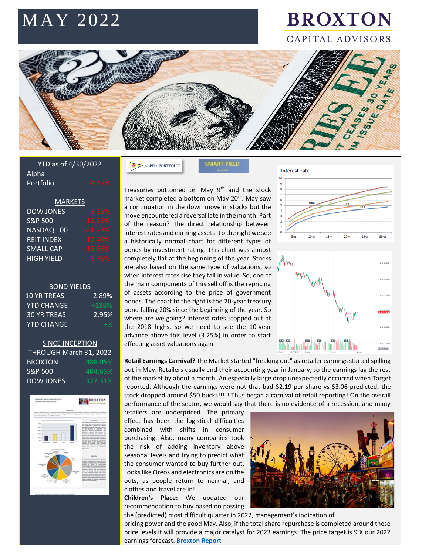# MAY 2022

## **BROXTON** CAPITAL ADVISORS



#### YTD as of 4/30/2022 Alpha Portfolio

| <b>MARKETS</b>     |           |
|--------------------|-----------|
| <b>DOW JONES</b>   | $-9.26%$  |
| <b>S&amp;P 500</b> | $-13.26%$ |
| NASDAQ 100         | $-21.26%$ |
| <b>REIT INDEX</b>  | $-10.40%$ |
| <b>SMALL CAP</b>   | $-16.86%$ |
| <b>HIGH YIELD</b>  | $-9.75%$  |

#### BOND YIELDS

| 2.89%   |
|---------|
| $+138%$ |
| 2.95%   |
| $+$ %   |
|         |

#### **SINCE INCEPTION** THROUGH March 31, 2022 **BROXTON**  $S\&P 500$  404.65%

| JQP JUU   | 404.0370 |
|-----------|----------|
| DOW JONES | 377.31%  |



 $>$  ALPHA PORTFOLIO

**SMART YIELD** 

Treasuries bottomed on May  $9<sup>th</sup>$  and the stock market completed a bottom on May 20<sup>th</sup>. May saw a continuation in the down move in stocks but the move encountered a reversal late in the month. Part of the reason? The direct relationship between interest rates and earning assets. To the right we see a historically normal chart for different types of bonds by investment rating. This chart was almost completely flat at the beginning of the year. Stocks are also based on the same type of valuations, so when interest rates rise they fall in value. So, one of the main components of this sell off is the repricing of assets according to the price of government bonds. The chart to the right is the 20-year treasury bond falling 20% since the beginning of the year. So where are we going? Interest rates stopped out at the 2018 highs, so we need to see the 10-year advance above this level (3.25%) in order to start effecting asset valuations again.



**Retail Earnings Carnival?** The Market started "freaking out" as retailer earnings started spilling out in May. Retailers usually end their accounting year in January, so the earnings lag the rest of the market by about a month. An especially large drop unexpectedly occurred when Target reported. Although the earnings were not that bad \$2.19 per share vs \$3.06 predicted, the stock dropped around \$50 bucks!!!!! Thus began a carnival of retail reporting! On the overall performance of the sector, we would say that there is no evidence of a recession, and many

retailers are underpriced. The primary effect has been the logistical difficulties combined with shifts in consumer purchasing. Also, many companies took the risk of adding inventory above seasonal levels and trying to predict what the consumer wanted to buy further out. Looks like Oreos and electronics are on the outs, as people return to normal, and clothes and travel are in!

**Children's Place:** We updated our recommendation to buy based on passing



the (predicted) most difficult quarter in 2022, management's indication of pricing power and the good May. Also, if the total share repurchase is completed around these price levels it will provide a major catalyst for 2023 earnings. The price target is 9 X our 2022 earnings forecast. **[Broxton Report](https://www.broxtoncapital.com/library)**